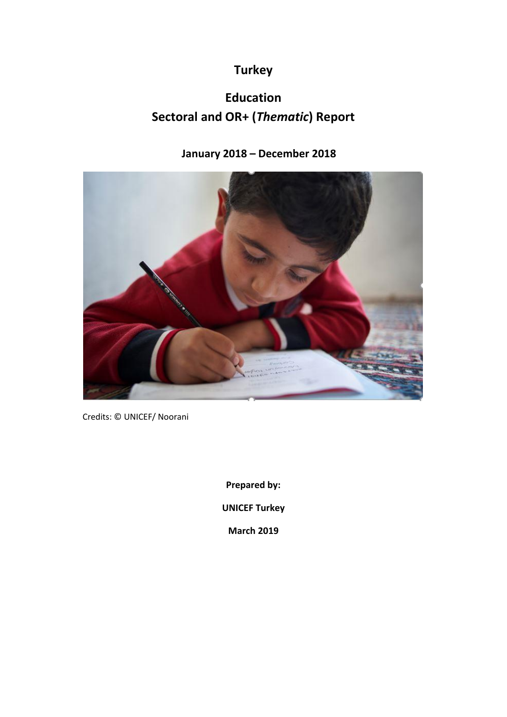# **Turkey**

# **Education Sectoral and OR+ (***Thematic***) Report**

## **January 2018 – December 2018**



Credits: © UNICEF/ Noorani

**Prepared by: UNICEF Turkey March 2019**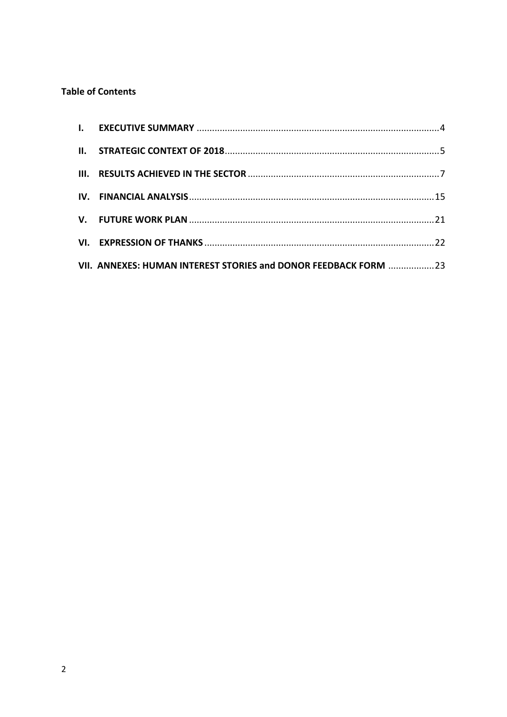## **Table of Contents**

| VII. ANNEXES: HUMAN INTEREST STORIES and DONOR FEEDBACK FORM 23 |  |
|-----------------------------------------------------------------|--|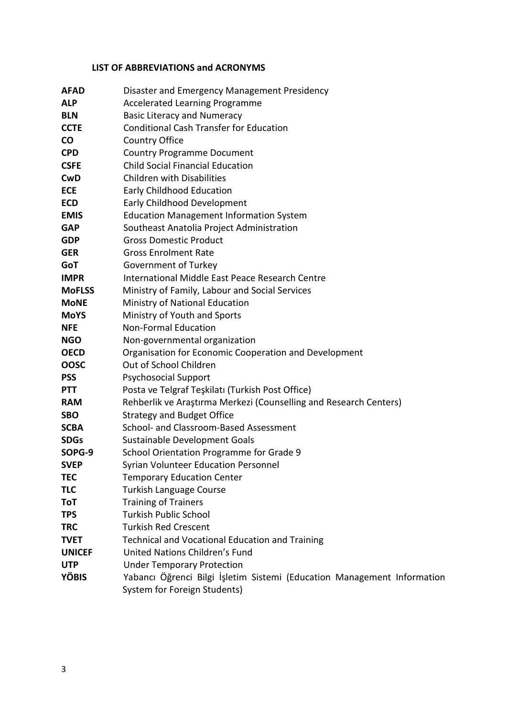## **LIST OF ABBREVIATIONS and ACRONYMS**

| <b>AFAD</b>   | Disaster and Emergency Management Presidency                            |
|---------------|-------------------------------------------------------------------------|
| <b>ALP</b>    | <b>Accelerated Learning Programme</b>                                   |
| <b>BLN</b>    | <b>Basic Literacy and Numeracy</b>                                      |
| <b>CCTE</b>   | <b>Conditional Cash Transfer for Education</b>                          |
| co            | Country Office                                                          |
| <b>CPD</b>    | <b>Country Programme Document</b>                                       |
| <b>CSFE</b>   | <b>Child Social Financial Education</b>                                 |
| <b>CwD</b>    | <b>Children with Disabilities</b>                                       |
| <b>ECE</b>    | Early Childhood Education                                               |
| <b>ECD</b>    | Early Childhood Development                                             |
| <b>EMIS</b>   | <b>Education Management Information System</b>                          |
| <b>GAP</b>    | Southeast Anatolia Project Administration                               |
| <b>GDP</b>    | <b>Gross Domestic Product</b>                                           |
| <b>GER</b>    | <b>Gross Enrolment Rate</b>                                             |
| GoT           | Government of Turkey                                                    |
| <b>IMPR</b>   | International Middle East Peace Research Centre                         |
| <b>MoFLSS</b> | Ministry of Family, Labour and Social Services                          |
| <b>MoNE</b>   | Ministry of National Education                                          |
| <b>MoYS</b>   | Ministry of Youth and Sports                                            |
| <b>NFE</b>    | <b>Non-Formal Education</b>                                             |
| <b>NGO</b>    | Non-governmental organization                                           |
| <b>OECD</b>   | Organisation for Economic Cooperation and Development                   |
| <b>OOSC</b>   | Out of School Children                                                  |
| <b>PSS</b>    | <b>Psychosocial Support</b>                                             |
| <b>PTT</b>    | Posta ve Telgraf Teşkilatı (Turkish Post Office)                        |
| <b>RAM</b>    | Rehberlik ve Araştırma Merkezi (Counselling and Research Centers)       |
| <b>SBO</b>    | <b>Strategy and Budget Office</b>                                       |
| <b>SCBA</b>   | School- and Classroom-Based Assessment                                  |
| <b>SDGs</b>   | Sustainable Development Goals                                           |
| SOPG-9        | School Orientation Programme for Grade 9                                |
| <b>SVEP</b>   | <b>Syrian Volunteer Education Personnel</b>                             |
| <b>TEC</b>    | <b>Temporary Education Center</b>                                       |
| <b>TLC</b>    | <b>Turkish Language Course</b>                                          |
| ToT           | <b>Training of Trainers</b>                                             |
| <b>TPS</b>    | <b>Turkish Public School</b>                                            |
| <b>TRC</b>    | <b>Turkish Red Crescent</b>                                             |
| <b>TVET</b>   | <b>Technical and Vocational Education and Training</b>                  |
| <b>UNICEF</b> | United Nations Children's Fund                                          |
| <b>UTP</b>    | <b>Under Temporary Protection</b>                                       |
| <b>YÖBIS</b>  | Yabancı Öğrenci Bilgi İşletim Sistemi (Education Management Information |
|               | System for Foreign Students)                                            |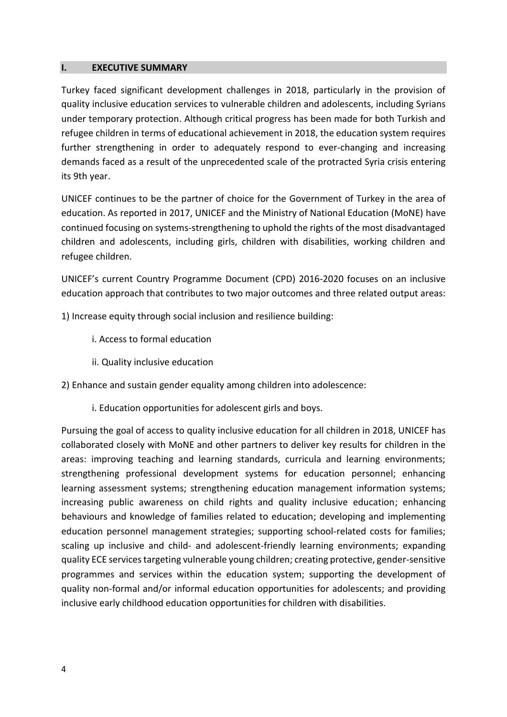#### <span id="page-3-0"></span>**I. EXECUTIVE SUMMARY**

Turkey faced significant development challenges in 2018, particularly in the provision of quality inclusive education services to vulnerable children and adolescents, including Syrians under temporary protection. Although critical progress has been made for both Turkish and refugee children in terms of educational achievement in 2018, the education system requires further strengthening in order to adequately respond to ever-changing and increasing demands faced as a result of the unprecedented scale of the protracted Syria crisis entering its 9th year.

UNICEF continues to be the partner of choice for the Government of Turkey in the area of education. As reported in 2017, UNICEF and the Ministry of National Education (MoNE) have continued focusing on systems-strengthening to uphold the rights of the most disadvantaged children and adolescents, including girls, children with disabilities, working children and refugee children.

UNICEF's current Country Programme Document (CPD) 2016-2020 focuses on an inclusive education approach that contributes to two major outcomes and three related output areas:

1) Increase equity through social inclusion and resilience building:

- i. Access to formal education
- ii. Quality inclusive education

2) Enhance and sustain gender equality among children into adolescence:

i. Education opportunities for adolescent girls and boys.

Pursuing the goal of access to quality inclusive education for all children in 2018, UNICEF has collaborated closely with MoNE and other partners to deliver key results for children in the areas: improving teaching and learning standards, curricula and learning environments; strengthening professional development systems for education personnel; enhancing learning assessment systems; strengthening education management information systems; increasing public awareness on child rights and quality inclusive education; enhancing behaviours and knowledge of families related to education; developing and implementing education personnel management strategies; supporting school-related costs for families; scaling up inclusive and child- and adolescent-friendly learning environments; expanding quality ECE services targeting vulnerable young children; creating protective, gender-sensitive programmes and services within the education system; supporting the development of quality non-formal and/or informal education opportunities for adolescents; and providing inclusive early childhood education opportunities for children with disabilities.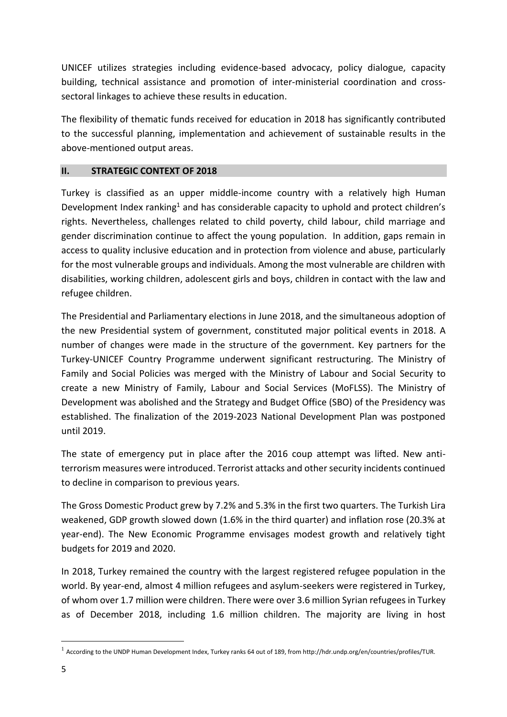UNICEF utilizes strategies including evidence-based advocacy, policy dialogue, capacity building, technical assistance and promotion of inter-ministerial coordination and crosssectoral linkages to achieve these results in education.

The flexibility of thematic funds received for education in 2018 has significantly contributed to the successful planning, implementation and achievement of sustainable results in the above-mentioned output areas.

### <span id="page-4-0"></span>**II. STRATEGIC CONTEXT OF 2018**

Turkey is classified as an upper middle-income country with a relatively high Human Development Index ranking<sup>1</sup> and has considerable capacity to uphold and protect children's rights. Nevertheless, challenges related to child poverty, child labour, child marriage and gender discrimination continue to affect the young population. In addition, gaps remain in access to quality inclusive education and in protection from violence and abuse, particularly for the most vulnerable groups and individuals. Among the most vulnerable are children with disabilities, working children, adolescent girls and boys, children in contact with the law and refugee children.

The Presidential and Parliamentary elections in June 2018, and the simultaneous adoption of the new Presidential system of government, constituted major political events in 2018. A number of changes were made in the structure of the government. Key partners for the Turkey-UNICEF Country Programme underwent significant restructuring. The Ministry of Family and Social Policies was merged with the Ministry of Labour and Social Security to create a new Ministry of Family, Labour and Social Services (MoFLSS). The Ministry of Development was abolished and the Strategy and Budget Office (SBO) of the Presidency was established. The finalization of the 2019-2023 National Development Plan was postponed until 2019.

The state of emergency put in place after the 2016 coup attempt was lifted. New antiterrorism measures were introduced. Terrorist attacks and other security incidents continued to decline in comparison to previous years.

The Gross Domestic Product grew by 7.2% and 5.3% in the first two quarters. The Turkish Lira weakened, GDP growth slowed down (1.6% in the third quarter) and inflation rose (20.3% at year-end). The New Economic Programme envisages modest growth and relatively tight budgets for 2019 and 2020.

In 2018, Turkey remained the country with the largest registered refugee population in the world. By year-end, almost 4 million refugees and asylum-seekers were registered in Turkey, of whom over 1.7 million were children. There were over 3.6 million Syrian refugees in Turkey as of December 2018, including 1.6 million children. The majority are living in host

**.** 

 $1$  According to the UNDP Human Development Index, Turkey ranks 64 out of 189, from http://hdr.undp.org/en/countries/profiles/TUR.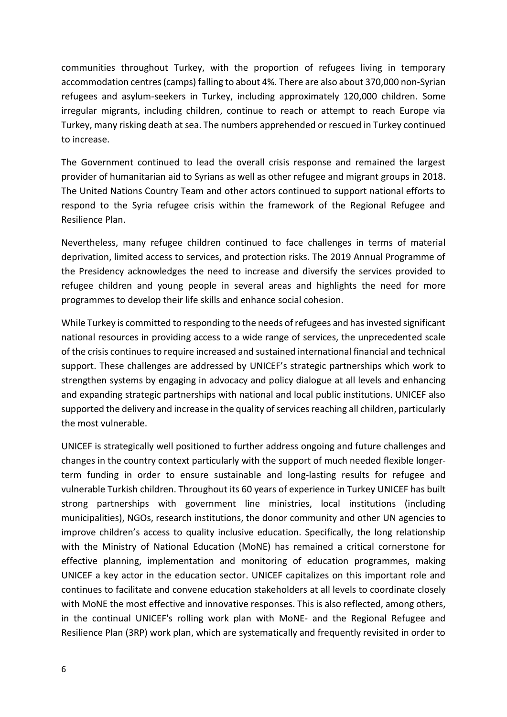communities throughout Turkey, with the proportion of refugees living in temporary accommodation centres (camps) falling to about 4%. There are also about 370,000 non-Syrian refugees and asylum-seekers in Turkey, including approximately 120,000 children. Some irregular migrants, including children, continue to reach or attempt to reach Europe via Turkey, many risking death at sea. The numbers apprehended or rescued in Turkey continued to increase.

The Government continued to lead the overall crisis response and remained the largest provider of humanitarian aid to Syrians as well as other refugee and migrant groups in 2018. The United Nations Country Team and other actors continued to support national efforts to respond to the Syria refugee crisis within the framework of the Regional Refugee and Resilience Plan.

Nevertheless, many refugee children continued to face challenges in terms of material deprivation, limited access to services, and protection risks. The 2019 Annual Programme of the Presidency acknowledges the need to increase and diversify the services provided to refugee children and young people in several areas and highlights the need for more programmes to develop their life skills and enhance social cohesion.

While Turkey is committed to responding to the needs of refugees and has invested significant national resources in providing access to a wide range of services, the unprecedented scale of the crisis continues to require increased and sustained international financial and technical support. These challenges are addressed by UNICEF's strategic partnerships which work to strengthen systems by engaging in advocacy and policy dialogue at all levels and enhancing and expanding strategic partnerships with national and local public institutions. UNICEF also supported the delivery and increase in the quality of services reaching all children, particularly the most vulnerable.

UNICEF is strategically well positioned to further address ongoing and future challenges and changes in the country context particularly with the support of much needed flexible longerterm funding in order to ensure sustainable and long-lasting results for refugee and vulnerable Turkish children. Throughout its 60 years of experience in Turkey UNICEF has built strong partnerships with government line ministries, local institutions (including municipalities), NGOs, research institutions, the donor community and other UN agencies to improve children's access to quality inclusive education. Specifically, the long relationship with the Ministry of National Education (MoNE) has remained a critical cornerstone for effective planning, implementation and monitoring of education programmes, making UNICEF a key actor in the education sector. UNICEF capitalizes on this important role and continues to facilitate and convene education stakeholders at all levels to coordinate closely with MoNE the most effective and innovative responses. This is also reflected, among others, in the continual UNICEF's rolling work plan with MoNE- and the Regional Refugee and Resilience Plan (3RP) work plan, which are systematically and frequently revisited in order to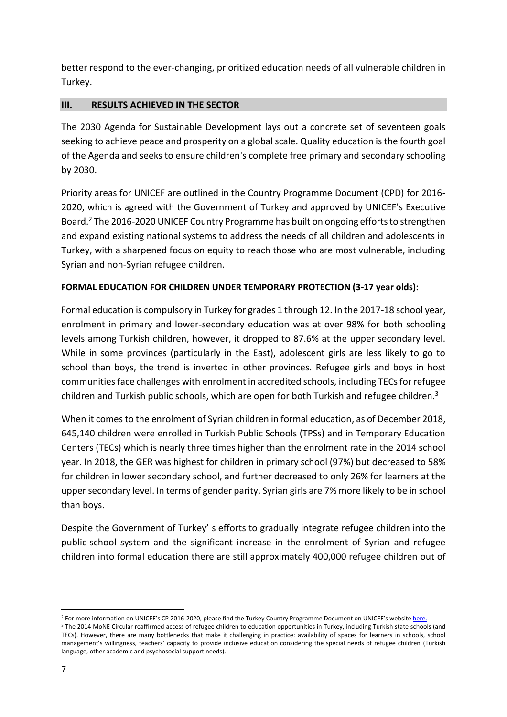better respond to the ever-changing, prioritized education needs of all vulnerable children in Turkey.

## <span id="page-6-0"></span>**III. RESULTS ACHIEVED IN THE SECTOR**

The 2030 Agenda for Sustainable Development lays out a concrete set of seventeen goals seeking to achieve peace and prosperity on a global scale. Quality education is the fourth goal of the Agenda and seeks to ensure children's complete free primary and secondary schooling by 2030.

Priority areas for UNICEF are outlined in the Country Programme Document (CPD) for 2016- 2020, which is agreed with the Government of Turkey and approved by UNICEF's Executive Board.<sup>2</sup> The 2016-2020 UNICEF Country Programme has built on ongoing efforts to strengthen and expand existing national systems to address the needs of all children and adolescents in Turkey, with a sharpened focus on equity to reach those who are most vulnerable, including Syrian and non-Syrian refugee children.

## **FORMAL EDUCATION FOR CHILDREN UNDER TEMPORARY PROTECTION (3-17 year olds):**

Formal education is compulsory in Turkey for grades 1 through 12. In the 2017-18 school year, enrolment in primary and lower-secondary education was at over 98% for both schooling levels among Turkish children, however, it dropped to 87.6% at the upper secondary level. While in some provinces (particularly in the East), adolescent girls are less likely to go to school than boys, the trend is inverted in other provinces. Refugee girls and boys in host communities face challenges with enrolment in accredited schools, including TECs for refugee children and Turkish public schools, which are open for both Turkish and refugee children.<sup>3</sup>

When it comes to the enrolment of Syrian children in formal education, as of December 2018, 645,140 children were enrolled in Turkish Public Schools (TPSs) and in Temporary Education Centers (TECs) which is nearly three times higher than the enrolment rate in the 2014 school year. In 2018, the GER was highest for children in primary school (97%) but decreased to 58% for children in lower secondary school, and further decreased to only 26% for learners at the upper secondary level. In terms of gender parity, Syrian girls are 7% more likely to be in school than boys.

Despite the Government of Turkey' s efforts to gradually integrate refugee children into the public-school system and the significant increase in the enrolment of Syrian and refugee children into formal education there are still approximately 400,000 refugee children out of

1

<sup>&</sup>lt;sup>2</sup> For more information on UNICEF's CP 2016-2020, please find the Turkey Country Programme Document on UNICEF's websit[e here.](https://www.unicef.org/about/execboard/files/2015-PL19-Turkey_CPD-ODS-EN.pdf) <sup>3</sup> The 2014 MoNE Circular reaffirmed access of refugee children to education opportunities in Turkey, including Turkish state schools (and TECs). However, there are many bottlenecks that make it challenging in practice: availability of spaces for learners in schools, school management's willingness, teachers' capacity to provide inclusive education considering the special needs of refugee children (Turkish language, other academic and psychosocial support needs).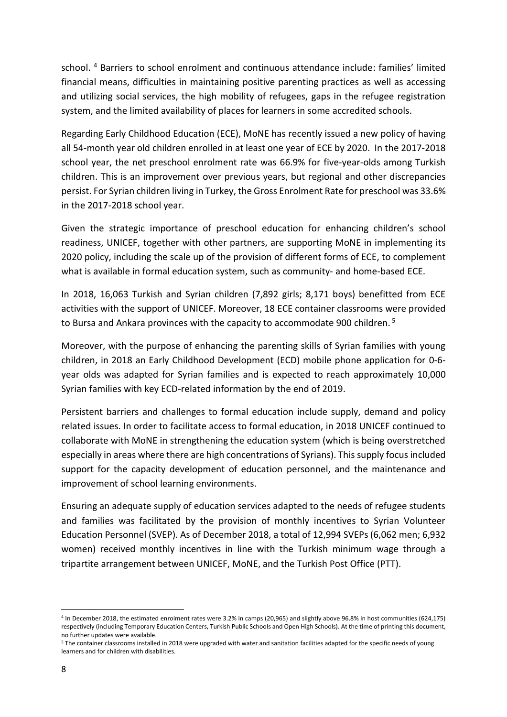school. <sup>4</sup> Barriers to school enrolment and continuous attendance include: families' limited financial means, difficulties in maintaining positive parenting practices as well as accessing and utilizing social services, the high mobility of refugees, gaps in the refugee registration system, and the limited availability of places for learners in some accredited schools.

Regarding Early Childhood Education (ECE), MoNE has recently issued a new policy of having all 54-month year old children enrolled in at least one year of ECE by 2020. In the 2017-2018 school year, the net preschool enrolment rate was 66.9% for five-year-olds among Turkish children. This is an improvement over previous years, but regional and other discrepancies persist. For Syrian children living in Turkey, the Gross Enrolment Rate for preschool was 33.6% in the 2017-2018 school year.

Given the strategic importance of preschool education for enhancing children's school readiness, UNICEF, together with other partners, are supporting MoNE in implementing its 2020 policy, including the scale up of the provision of different forms of ECE, to complement what is available in formal education system, such as community- and home-based ECE.

In 2018, 16,063 Turkish and Syrian children (7,892 girls; 8,171 boys) benefitted from ECE activities with the support of UNICEF. Moreover, 18 ECE container classrooms were provided to Bursa and Ankara provinces with the capacity to accommodate 900 children.<sup>5</sup>

Moreover, with the purpose of enhancing the parenting skills of Syrian families with young children, in 2018 an Early Childhood Development (ECD) mobile phone application for 0-6 year olds was adapted for Syrian families and is expected to reach approximately 10,000 Syrian families with key ECD-related information by the end of 2019.

Persistent barriers and challenges to formal education include supply, demand and policy related issues. In order to facilitate access to formal education, in 2018 UNICEF continued to collaborate with MoNE in strengthening the education system (which is being overstretched especially in areas where there are high concentrations of Syrians). This supply focus included support for the capacity development of education personnel, and the maintenance and improvement of school learning environments.

Ensuring an adequate supply of education services adapted to the needs of refugee students and families was facilitated by the provision of monthly incentives to Syrian Volunteer Education Personnel (SVEP). As of December 2018, a total of 12,994 SVEPs (6,062 men; 6,932 women) received monthly incentives in line with the Turkish minimum wage through a tripartite arrangement between UNICEF, MoNE, and the Turkish Post Office (PTT).

1

<sup>4</sup> In December 2018, the estimated enrolment rates were 3.2% in camps (20,965) and slightly above 96.8% in host communities (624,175) respectively (including Temporary Education Centers, Turkish Public Schools and Open High Schools). At the time of printing this document, no further updates were available.

<sup>5</sup> The container classrooms installed in 2018 were upgraded with water and sanitation facilities adapted for the specific needs of young learners and for children with disabilities.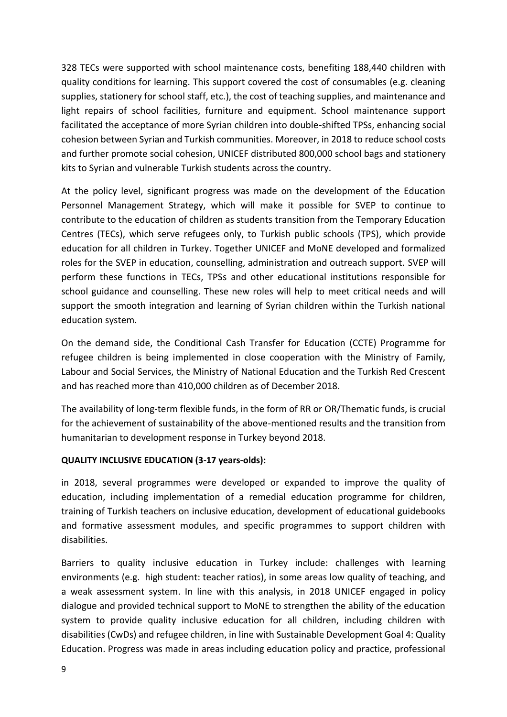328 TECs were supported with school maintenance costs, benefiting 188,440 children with quality conditions for learning. This support covered the cost of consumables (e.g. cleaning supplies, stationery for school staff, etc.), the cost of teaching supplies, and maintenance and light repairs of school facilities, furniture and equipment. School maintenance support facilitated the acceptance of more Syrian children into double-shifted TPSs, enhancing social cohesion between Syrian and Turkish communities. Moreover, in 2018 to reduce school costs and further promote social cohesion, UNICEF distributed 800,000 school bags and stationery kits to Syrian and vulnerable Turkish students across the country.

At the policy level, significant progress was made on the development of the Education Personnel Management Strategy, which will make it possible for SVEP to continue to contribute to the education of children as students transition from the Temporary Education Centres (TECs), which serve refugees only, to Turkish public schools (TPS), which provide education for all children in Turkey. Together UNICEF and MoNE developed and formalized roles for the SVEP in education, counselling, administration and outreach support. SVEP will perform these functions in TECs, TPSs and other educational institutions responsible for school guidance and counselling. These new roles will help to meet critical needs and will support the smooth integration and learning of Syrian children within the Turkish national education system.

On the demand side, the Conditional Cash Transfer for Education (CCTE) Programme for refugee children is being implemented in close cooperation with the Ministry of Family, Labour and Social Services, the Ministry of National Education and the Turkish Red Crescent and has reached more than 410,000 children as of December 2018.

The availability of long-term flexible funds, in the form of RR or OR/Thematic funds, is crucial for the achievement of sustainability of the above-mentioned results and the transition from humanitarian to development response in Turkey beyond 2018.

## **QUALITY INCLUSIVE EDUCATION (3-17 years-olds):**

in 2018, several programmes were developed or expanded to improve the quality of education, including implementation of a remedial education programme for children, training of Turkish teachers on inclusive education, development of educational guidebooks and formative assessment modules, and specific programmes to support children with disabilities.

Barriers to quality inclusive education in Turkey include: challenges with learning environments (e.g. high student: teacher ratios), in some areas low quality of teaching, and a weak assessment system. In line with this analysis, in 2018 UNICEF engaged in policy dialogue and provided technical support to MoNE to strengthen the ability of the education system to provide quality inclusive education for all children, including children with disabilities (CwDs) and refugee children, in line with Sustainable Development Goal 4: Quality Education. Progress was made in areas including education policy and practice, professional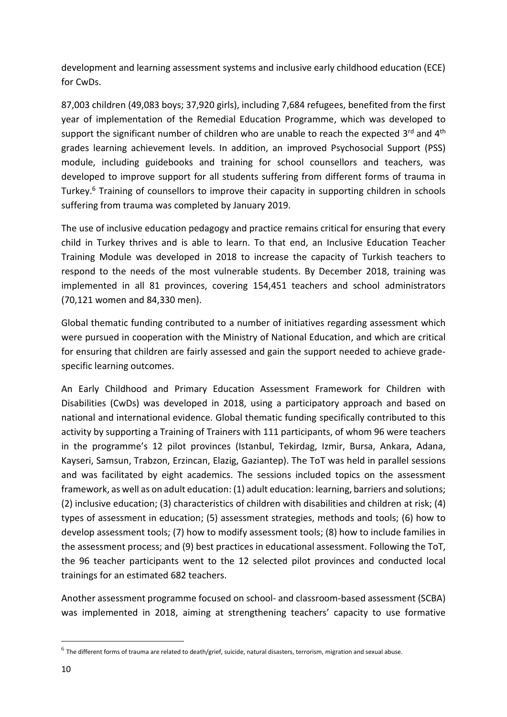development and learning assessment systems and inclusive early childhood education (ECE) for CwDs.

87,003 children (49,083 boys; 37,920 girls), including 7,684 refugees, benefited from the first year of implementation of the Remedial Education Programme, which was developed to support the significant number of children who are unable to reach the expected 3<sup>rd</sup> and 4<sup>th</sup> grades learning achievement levels. In addition, an improved Psychosocial Support (PSS) module, including guidebooks and training for school counsellors and teachers, was developed to improve support for all students suffering from different forms of trauma in Turkey.<sup>6</sup> Training of counsellors to improve their capacity in supporting children in schools suffering from trauma was completed by January 2019.

The use of inclusive education pedagogy and practice remains critical for ensuring that every child in Turkey thrives and is able to learn. To that end, an Inclusive Education Teacher Training Module was developed in 2018 to increase the capacity of Turkish teachers to respond to the needs of the most vulnerable students. By December 2018, training was implemented in all 81 provinces, covering 154,451 teachers and school administrators (70,121 women and 84,330 men).

Global thematic funding contributed to a number of initiatives regarding assessment which were pursued in cooperation with the Ministry of National Education, and which are critical for ensuring that children are fairly assessed and gain the support needed to achieve gradespecific learning outcomes.

An Early Childhood and Primary Education Assessment Framework for Children with Disabilities (CwDs) was developed in 2018, using a participatory approach and based on national and international evidence. Global thematic funding specifically contributed to this activity by supporting a Training of Trainers with 111 participants, of whom 96 were teachers in the programme's 12 pilot provinces (Istanbul, Tekirdag, Izmir, Bursa, Ankara, Adana, Kayseri, Samsun, Trabzon, Erzincan, Elazig, Gaziantep). The ToT was held in parallel sessions and was facilitated by eight academics. The sessions included topics on the assessment framework, as well as on adult education: (1) adult education: learning, barriers and solutions; (2) inclusive education; (3) characteristics of children with disabilities and children at risk; (4) types of assessment in education; (5) assessment strategies, methods and tools; (6) how to develop assessment tools; (7) how to modify assessment tools; (8) how to include families in the assessment process; and (9) best practices in educational assessment. Following the ToT, the 96 teacher participants went to the 12 selected pilot provinces and conducted local trainings for an estimated 682 teachers.

Another assessment programme focused on school- and classroom-based assessment (SCBA) was implemented in 2018, aiming at strengthening teachers' capacity to use formative

**.** 

 $^6$  The different forms of trauma are related to death/grief, suicide, natural disasters, terrorism, migration and sexual abuse.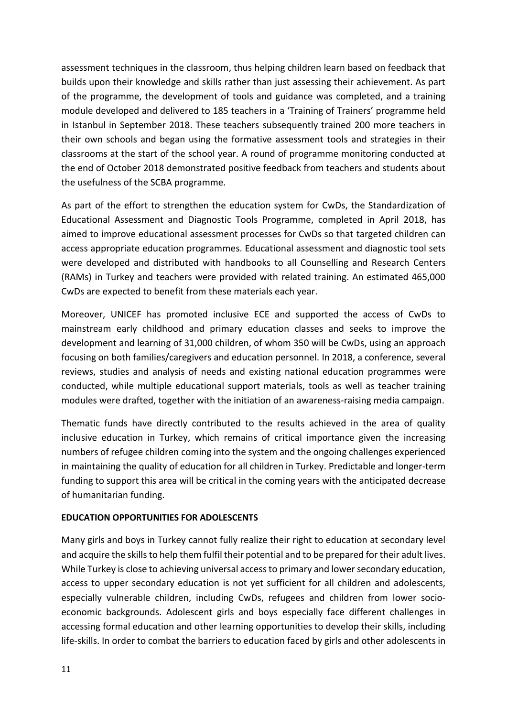assessment techniques in the classroom, thus helping children learn based on feedback that builds upon their knowledge and skills rather than just assessing their achievement. As part of the programme, the development of tools and guidance was completed, and a training module developed and delivered to 185 teachers in a 'Training of Trainers' programme held in Istanbul in September 2018. These teachers subsequently trained 200 more teachers in their own schools and began using the formative assessment tools and strategies in their classrooms at the start of the school year. A round of programme monitoring conducted at the end of October 2018 demonstrated positive feedback from teachers and students about the usefulness of the SCBA programme.

As part of the effort to strengthen the education system for CwDs, the Standardization of Educational Assessment and Diagnostic Tools Programme, completed in April 2018, has aimed to improve educational assessment processes for CwDs so that targeted children can access appropriate education programmes. Educational assessment and diagnostic tool sets were developed and distributed with handbooks to all Counselling and Research Centers (RAMs) in Turkey and teachers were provided with related training. An estimated 465,000 CwDs are expected to benefit from these materials each year.

Moreover, UNICEF has promoted inclusive ECE and supported the access of CwDs to mainstream early childhood and primary education classes and seeks to improve the development and learning of 31,000 children, of whom 350 will be CwDs, using an approach focusing on both families/caregivers and education personnel. In 2018, a conference, several reviews, studies and analysis of needs and existing national education programmes were conducted, while multiple educational support materials, tools as well as teacher training modules were drafted, together with the initiation of an awareness-raising media campaign.

Thematic funds have directly contributed to the results achieved in the area of quality inclusive education in Turkey, which remains of critical importance given the increasing numbers of refugee children coming into the system and the ongoing challenges experienced in maintaining the quality of education for all children in Turkey. Predictable and longer-term funding to support this area will be critical in the coming years with the anticipated decrease of humanitarian funding.

#### **EDUCATION OPPORTUNITIES FOR ADOLESCENTS**

Many girls and boys in Turkey cannot fully realize their right to education at secondary level and acquire the skills to help them fulfil their potential and to be prepared for their adult lives. While Turkey is close to achieving universal access to primary and lower secondary education, access to upper secondary education is not yet sufficient for all children and adolescents, especially vulnerable children, including CwDs, refugees and children from lower socioeconomic backgrounds. Adolescent girls and boys especially face different challenges in accessing formal education and other learning opportunities to develop their skills, including life-skills. In order to combat the barriers to education faced by girls and other adolescents in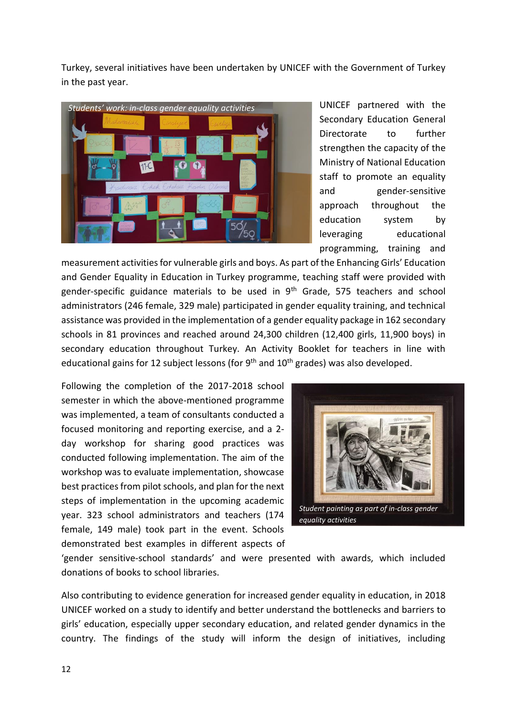Turkey, several initiatives have been undertaken by UNICEF with the Government of Turkey in the past year.



UNICEF partnered with the Secondary Education General Directorate to further strengthen the capacity of the Ministry of National Education staff to promote an equality and gender-sensitive approach throughout the education system by leveraging educational programming, training and

measurement activities for vulnerable girls and boys. As part of the Enhancing Girls' Education and Gender Equality in Education in Turkey programme, teaching staff were provided with gender-specific guidance materials to be used in 9<sup>th</sup> Grade, 575 teachers and school administrators (246 female, 329 male) participated in gender equality training, and technical assistance was provided in the implementation of a gender equality package in 162 secondary schools in 81 provinces and reached around 24,300 children (12,400 girls, 11,900 boys) in secondary education throughout Turkey. An Activity Booklet for teachers in line with educational gains for 12 subject lessons (for 9<sup>th</sup> and 10<sup>th</sup> grades) was also developed.

Following the completion of the 2017-2018 school semester in which the above-mentioned programme was implemented, a team of consultants conducted a focused monitoring and reporting exercise, and a 2 day workshop for sharing good practices was conducted following implementation. The aim of the workshop was to evaluate implementation, showcase best practices from pilot schools, and plan for the next steps of implementation in the upcoming academic year. 323 school administrators and teachers (174 female, 149 male) took part in the event. Schools demonstrated best examples in different aspects of



'gender sensitive-school standards' and were presented with awards, which included donations of books to school libraries.

Also contributing to evidence generation for increased gender equality in education, in 2018 UNICEF worked on a study to identify and better understand the bottlenecks and barriers to girls' education, especially upper secondary education, and related gender dynamics in the country. The findings of the study will inform the design of initiatives, including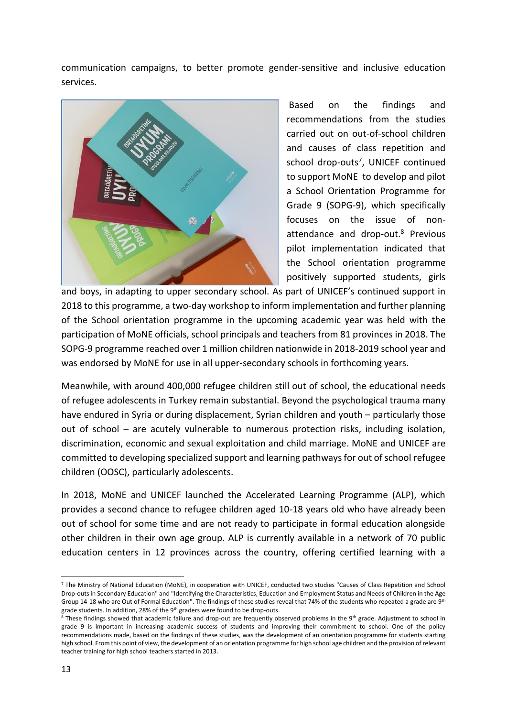communication campaigns, to better promote gender-sensitive and inclusive education services.



Based on the findings and recommendations from the studies carried out on out-of-school children and causes of class repetition and school drop-outs<sup>7</sup>, UNICEF continued to support MoNE to develop and pilot a School Orientation Programme for Grade 9 (SOPG-9), which specifically focuses on the issue of nonattendance and drop-out.<sup>8</sup> Previous pilot implementation indicated that the School orientation programme positively supported students, girls

and boys, in adapting to upper secondary school. As part of UNICEF's continued support in 2018 to this programme, a two-day workshop to inform implementation and further planning of the School orientation programme in the upcoming academic year was held with the participation of MoNE officials, school principals and teachers from 81 provinces in 2018. The SOPG-9 programme reached over 1 million children nationwide in 2018-2019 school year and was endorsed by MoNE for use in all upper-secondary schools in forthcoming years.

Meanwhile, with around 400,000 refugee children still out of school, the educational needs of refugee adolescents in Turkey remain substantial. Beyond the psychological trauma many have endured in Syria or during displacement, Syrian children and youth – particularly those out of school – are acutely vulnerable to numerous protection risks, including isolation, discrimination, economic and sexual exploitation and child marriage. MoNE and UNICEF are committed to developing specialized support and learning pathways for out of school refugee children (OOSC), particularly adolescents.

In 2018, MoNE and UNICEF launched the Accelerated Learning Programme (ALP), which provides a second chance to refugee children aged 10-18 years old who have already been out of school for some time and are not ready to participate in formal education alongside other children in their own age group. ALP is currently available in a network of 70 public education centers in 12 provinces across the country, offering certified learning with a

**.** 

<sup>7</sup> The Ministry of National Education (MoNE), in cooperation with UNICEF, conducted two studies "Causes of Class Repetition and School Drop-outs in Secondary Education" and "Identifying the Characteristics, Education and Employment Status and Needs of Children in the Age Group 14-18 who are Out of Formal Education". The findings of these studies reveal that 74% of the students who repeated a grade are 9<sup>th</sup> grade students. In addition, 28% of the 9<sup>th</sup> graders were found to be drop-outs.

<sup>&</sup>lt;sup>8</sup> These findings showed that academic failure and drop-out are frequently observed problems in the 9<sup>th</sup> grade. Adjustment to school in grade 9 is important in increasing academic success of students and improving their commitment to school. One of the policy recommendations made, based on the findings of these studies, was the development of an orientation programme for students starting high school. From this point of view, the development of an orientation programme for high school age children and the provision of relevant teacher training for high school teachers started in 2013.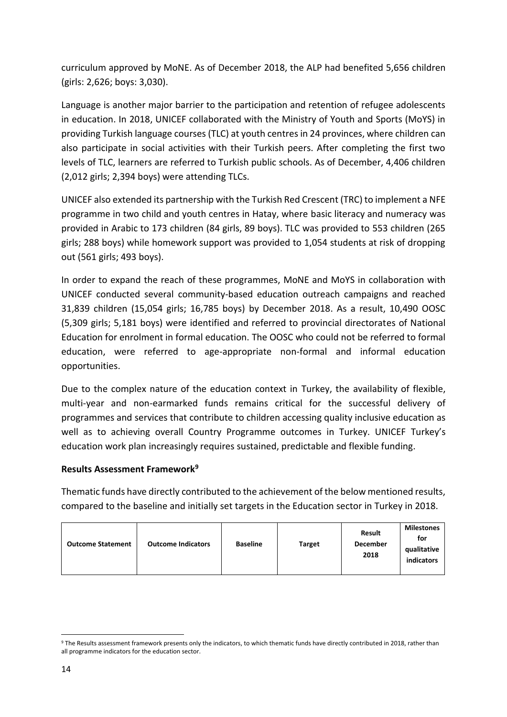curriculum approved by MoNE. As of December 2018, the ALP had benefited 5,656 children (girls: 2,626; boys: 3,030).

Language is another major barrier to the participation and retention of refugee adolescents in education. In 2018, UNICEF collaborated with the Ministry of Youth and Sports (MoYS) in providing Turkish language courses (TLC) at youth centres in 24 provinces, where children can also participate in social activities with their Turkish peers. After completing the first two levels of TLC, learners are referred to Turkish public schools. As of December, 4,406 children (2,012 girls; 2,394 boys) were attending TLCs.

UNICEF also extended its partnership with the Turkish Red Crescent (TRC) to implement a NFE programme in two child and youth centres in Hatay, where basic literacy and numeracy was provided in Arabic to 173 children (84 girls, 89 boys). TLC was provided to 553 children (265 girls; 288 boys) while homework support was provided to 1,054 students at risk of dropping out (561 girls; 493 boys).

In order to expand the reach of these programmes, MoNE and MoYS in collaboration with UNICEF conducted several community-based education outreach campaigns and reached 31,839 children (15,054 girls; 16,785 boys) by December 2018. As a result, 10,490 OOSC (5,309 girls; 5,181 boys) were identified and referred to provincial directorates of National Education for enrolment in formal education. The OOSC who could not be referred to formal education, were referred to age-appropriate non-formal and informal education opportunities.

Due to the complex nature of the education context in Turkey, the availability of flexible, multi-year and non-earmarked funds remains critical for the successful delivery of programmes and services that contribute to children accessing quality inclusive education as well as to achieving overall Country Programme outcomes in Turkey. UNICEF Turkey's education work plan increasingly requires sustained, predictable and flexible funding.

## **Results Assessment Framework<sup>9</sup>**

Thematic funds have directly contributed to the achievement of the below mentioned results, compared to the baseline and initially set targets in the Education sector in Turkey in 2018.

| <b>Outcome Indicators</b><br><b>Outcome Statement</b> | <b>Baseline</b> | <b>Target</b> | <b>Result</b><br>December<br>2018 | <b>Milestones</b><br>for<br>qualitative<br>indicators |
|-------------------------------------------------------|-----------------|---------------|-----------------------------------|-------------------------------------------------------|
|-------------------------------------------------------|-----------------|---------------|-----------------------------------|-------------------------------------------------------|

 $\overline{a}$ <sup>9</sup> The Results assessment framework presents only the indicators, to which thematic funds have directly contributed in 2018, rather than all programme indicators for the education sector.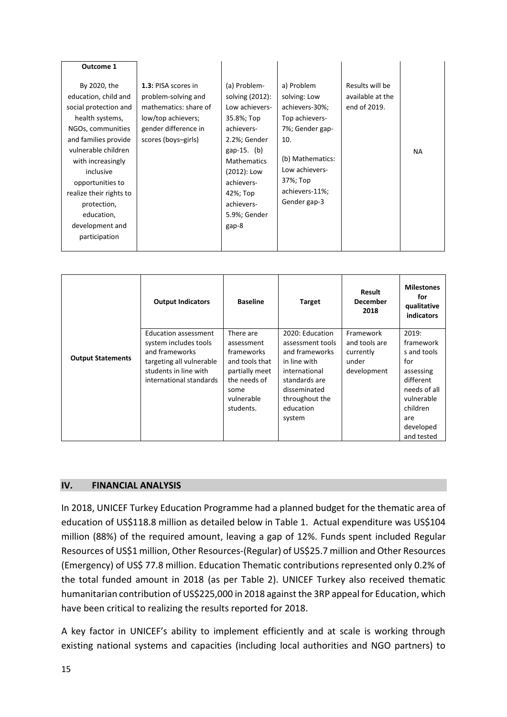| Outcome 1                                                                                                                                                                                                                                                                                              |                                                                                                                                          |                                                                                                                                                                                                                      |                                                                                                                                                                              |                                                     |           |
|--------------------------------------------------------------------------------------------------------------------------------------------------------------------------------------------------------------------------------------------------------------------------------------------------------|------------------------------------------------------------------------------------------------------------------------------------------|----------------------------------------------------------------------------------------------------------------------------------------------------------------------------------------------------------------------|------------------------------------------------------------------------------------------------------------------------------------------------------------------------------|-----------------------------------------------------|-----------|
| By 2020, the<br>education, child and<br>social protection and<br>health systems,<br>NGOs, communities<br>and families provide<br>vulnerable children<br>with increasingly<br>inclusive<br>opportunities to<br>realize their rights to<br>protection,<br>education,<br>development and<br>participation | 1.3: PISA scores in<br>problem-solving and<br>mathematics: share of<br>low/top achievers;<br>gender difference in<br>scores (boys-girls) | (a) Problem-<br>solving (2012):<br>Low achievers-<br>35.8%; Top<br>achievers-<br>2.2%; Gender<br>gap-15. $(b)$<br><b>Mathematics</b><br>(2012): Low<br>achievers-<br>42%; Top<br>achievers-<br>5.9%; Gender<br>gap-8 | a) Problem<br>solving: Low<br>achievers-30%;<br>Top achievers-<br>7%; Gender gap-<br>10.<br>(b) Mathematics:<br>Low achievers-<br>37%; Top<br>achievers-11%;<br>Gender gap-3 | Results will be<br>available at the<br>end of 2019. | <b>NA</b> |

|                          | <b>Output Indicators</b>                                                                                                                        | <b>Baseline</b>                                                                                                              | <b>Target</b>                                                                                                                                                    | Result<br><b>December</b><br>2018                               | <b>Milestones</b><br>for<br>qualitative<br>indicators                                                                                          |
|--------------------------|-------------------------------------------------------------------------------------------------------------------------------------------------|------------------------------------------------------------------------------------------------------------------------------|------------------------------------------------------------------------------------------------------------------------------------------------------------------|-----------------------------------------------------------------|------------------------------------------------------------------------------------------------------------------------------------------------|
| <b>Output Statements</b> | Education assessment<br>system includes tools<br>and frameworks<br>targeting all vulnerable<br>students in line with<br>international standards | There are<br>assessment<br>frameworks<br>and tools that<br>partially meet<br>the needs of<br>some<br>vulnerable<br>students. | 2020: Education<br>assessment tools<br>and frameworks<br>in line with<br>international<br>standards are<br>disseminated<br>throughout the<br>education<br>system | Framework<br>and tools are<br>currently<br>under<br>development | 2019:<br>framework<br>s and tools<br>for<br>assessing<br>different<br>needs of all<br>vulnerable<br>children<br>are<br>developed<br>and tested |

#### <span id="page-14-0"></span>**IV. FINANCIAL ANALYSIS**

In 2018, UNICEF Turkey Education Programme had a planned budget for the thematic area of education of US\$118.8 million as detailed below in Table 1. Actual expenditure was US\$104 million (88%) of the required amount, leaving a gap of 12%. Funds spent included Regular Resources of US\$1 million, Other Resources-(Regular) of US\$25.7 million and Other Resources (Emergency) of US\$ 77.8 million. Education Thematic contributions represented only 0.2% of the total funded amount in 2018 (as per Table 2). UNICEF Turkey also received thematic humanitarian contribution of US\$225,000 in 2018 against the 3RP appeal for Education, which have been critical to realizing the results reported for 2018.

A key factor in UNICEF's ability to implement efficiently and at scale is working through existing national systems and capacities (including local authorities and NGO partners) to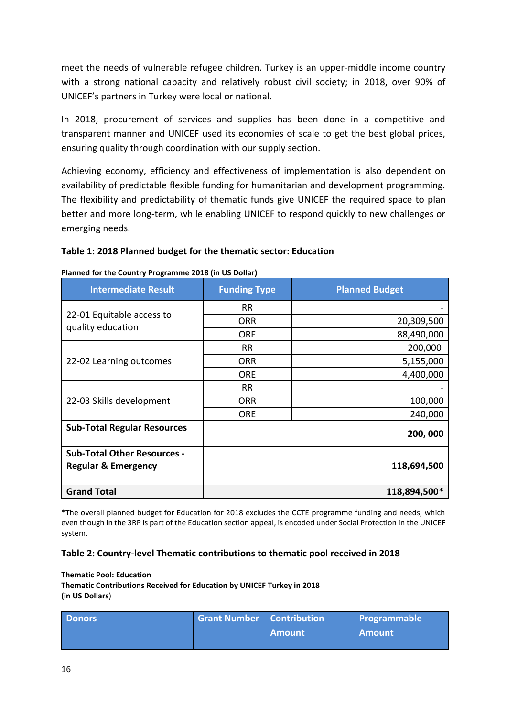meet the needs of vulnerable refugee children. Turkey is an upper-middle income country with a strong national capacity and relatively robust civil society; in 2018, over 90% of UNICEF's partners in Turkey were local or national.

In 2018, procurement of services and supplies has been done in a competitive and transparent manner and UNICEF used its economies of scale to get the best global prices, ensuring quality through coordination with our supply section.

Achieving economy, efficiency and effectiveness of implementation is also dependent on availability of predictable flexible funding for humanitarian and development programming. The flexibility and predictability of thematic funds give UNICEF the required space to plan better and more long-term, while enabling UNICEF to respond quickly to new challenges or emerging needs.

#### **Table 1: 2018 Planned budget for the thematic sector: Education**

| <b>Intermediate Result</b>                     | <b>Funding Type</b> | <b>Planned Budget</b> |  |  |
|------------------------------------------------|---------------------|-----------------------|--|--|
|                                                | <b>RR</b>           |                       |  |  |
| 22-01 Equitable access to<br>quality education | <b>ORR</b>          | 20,309,500            |  |  |
|                                                | <b>ORE</b>          | 88,490,000            |  |  |
|                                                | <b>RR</b>           | 200,000               |  |  |
| 22-02 Learning outcomes                        | <b>ORR</b>          | 5,155,000             |  |  |
|                                                | <b>ORE</b>          | 4,400,000             |  |  |
|                                                | <b>RR</b>           |                       |  |  |
| 22-03 Skills development                       | <b>ORR</b>          | 100,000               |  |  |
|                                                | <b>ORE</b>          | 240,000               |  |  |
| <b>Sub-Total Regular Resources</b>             |                     | 200,000               |  |  |
| <b>Sub-Total Other Resources -</b>             |                     |                       |  |  |
| <b>Regular &amp; Emergency</b>                 |                     | 118,694,500           |  |  |
| <b>Grand Total</b>                             |                     | 118,894,500*          |  |  |

#### **Planned for the Country Programme 2018 (in US Dollar)**

\*The overall planned budget for Education for 2018 excludes the CCTE programme funding and needs, which even though in the 3RP is part of the Education section appeal, is encoded under Social Protection in the UNICEF system.

#### **Table 2: Country-level Thematic contributions to thematic pool received in 2018**

**Thematic Pool: Education Thematic Contributions Received for Education by UNICEF Turkey in 2018 (in US Dollars**)

| <b>Donors</b> | <b>Grant Number   Contribution</b> |        | <b>Programmable</b> |
|---------------|------------------------------------|--------|---------------------|
|               |                                    | Amount | <b>Amount</b>       |
|               |                                    |        |                     |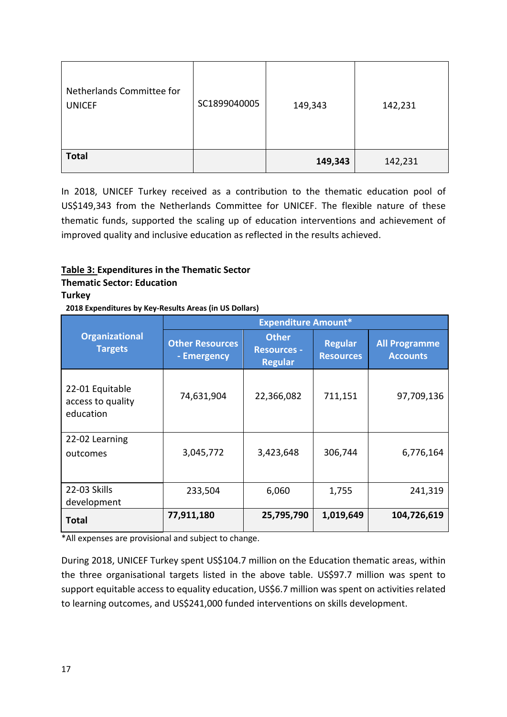| Netherlands Committee for<br><b>UNICEF</b> | SC1899040005 | 149,343 | 142,231 |
|--------------------------------------------|--------------|---------|---------|
| <b>Total</b>                               |              | 149,343 | 142,231 |

In 2018, UNICEF Turkey received as a contribution to the thematic education pool of US\$149,343 from the Netherlands Committee for UNICEF. The flexible nature of these thematic funds, supported the scaling up of education interventions and achievement of improved quality and inclusive education as reflected in the results achieved.

## **Table 3: Expenditures in the Thematic Sector**

## **Thematic Sector: Education**

## **Turkey**

**2018 Expenditures by Key-Results Areas (in US Dollars)**

|                                                   | <b>Expenditure Amount*</b>            |                                                      |                                    |                                         |
|---------------------------------------------------|---------------------------------------|------------------------------------------------------|------------------------------------|-----------------------------------------|
| <b>Organizational</b><br><b>Targets</b>           | <b>Other Resources</b><br>- Emergency | <b>Other</b><br><b>Resources -</b><br><b>Regular</b> | <b>Regular</b><br><b>Resources</b> | <b>All Programme</b><br><b>Accounts</b> |
| 22-01 Equitable<br>access to quality<br>education | 74,631,904                            | 22,366,082                                           | 711,151                            | 97,709,136                              |
| 22-02 Learning<br>outcomes                        | 3,045,772                             | 3,423,648                                            | 306,744                            | 6,776,164                               |
| 22-03 Skills                                      | 233,504                               | 6,060                                                | 1,755                              | 241,319                                 |
| development                                       | 77,911,180                            | 25,795,790                                           | 1,019,649                          | 104,726,619                             |
| Total                                             |                                       |                                                      |                                    |                                         |

\*All expenses are provisional and subject to change.

During 2018, UNICEF Turkey spent US\$104.7 million on the Education thematic areas, within the three organisational targets listed in the above table. US\$97.7 million was spent to support equitable access to equality education, US\$6.7 million was spent on activities related to learning outcomes, and US\$241,000 funded interventions on skills development.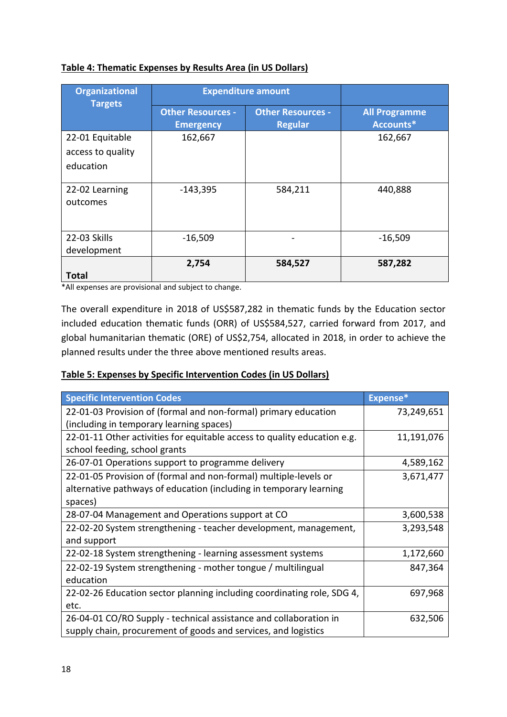## **Table 4: Thematic Expenses by Results Area (in US Dollars)**

| <b>Organizational</b>       |                                              | <b>Expenditure amount</b>                  |                                   |
|-----------------------------|----------------------------------------------|--------------------------------------------|-----------------------------------|
| <b>Targets</b>              | <b>Other Resources -</b><br><b>Emergency</b> | <b>Other Resources -</b><br><b>Regular</b> | <b>All Programme</b><br>Accounts* |
| 22-01 Equitable             | 162,667                                      |                                            | 162,667                           |
| access to quality           |                                              |                                            |                                   |
| education                   |                                              |                                            |                                   |
| 22-02 Learning<br>outcomes  | $-143,395$                                   | 584,211                                    | 440,888                           |
| 22-03 Skills<br>development | $-16,509$                                    |                                            | $-16,509$                         |
| <b>Total</b>                | 2,754                                        | 584,527                                    | 587,282                           |

\*All expenses are provisional and subject to change.

The overall expenditure in 2018 of US\$587,282 in thematic funds by the Education sector included education thematic funds (ORR) of US\$584,527, carried forward from 2017, and global humanitarian thematic (ORE) of US\$2,754, allocated in 2018, in order to achieve the planned results under the three above mentioned results areas.

## **Table 5: Expenses by Specific Intervention Codes (in US Dollars)**

| <b>Specific Intervention Codes</b>                                       | Expense*   |
|--------------------------------------------------------------------------|------------|
| 22-01-03 Provision of (formal and non-formal) primary education          | 73,249,651 |
| (including in temporary learning spaces)                                 |            |
| 22-01-11 Other activities for equitable access to quality education e.g. | 11,191,076 |
| school feeding, school grants                                            |            |
| 26-07-01 Operations support to programme delivery                        | 4,589,162  |
| 22-01-05 Provision of (formal and non-formal) multiple-levels or         | 3,671,477  |
| alternative pathways of education (including in temporary learning       |            |
| spaces)                                                                  |            |
| 28-07-04 Management and Operations support at CO                         | 3,600,538  |
| 22-02-20 System strengthening - teacher development, management,         | 3,293,548  |
| and support                                                              |            |
| 22-02-18 System strengthening - learning assessment systems              | 1,172,660  |
| 22-02-19 System strengthening - mother tongue / multilingual             | 847,364    |
| education                                                                |            |
| 22-02-26 Education sector planning including coordinating role, SDG 4,   | 697,968    |
| etc.                                                                     |            |
| 26-04-01 CO/RO Supply - technical assistance and collaboration in        | 632,506    |
| supply chain, procurement of goods and services, and logistics           |            |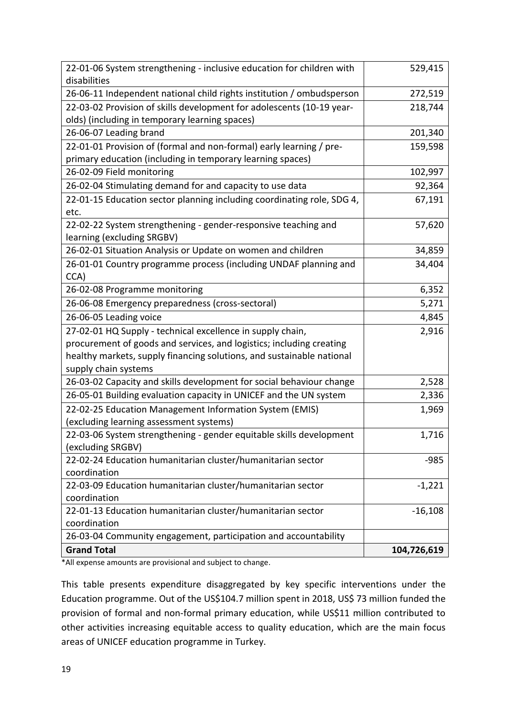| 22-01-06 System strengthening - inclusive education for children with<br>disabilities    | 529,415     |
|------------------------------------------------------------------------------------------|-------------|
| 26-06-11 Independent national child rights institution / ombudsperson                    | 272,519     |
| 22-03-02 Provision of skills development for adolescents (10-19 year-                    | 218,744     |
| olds) (including in temporary learning spaces)                                           |             |
| 26-06-07 Leading brand                                                                   | 201,340     |
| 22-01-01 Provision of (formal and non-formal) early learning / pre-                      | 159,598     |
| primary education (including in temporary learning spaces)                               |             |
| 26-02-09 Field monitoring                                                                | 102,997     |
| 26-02-04 Stimulating demand for and capacity to use data                                 | 92,364      |
| 22-01-15 Education sector planning including coordinating role, SDG 4,                   | 67,191      |
| etc.                                                                                     |             |
| 22-02-22 System strengthening - gender-responsive teaching and                           | 57,620      |
| learning (excluding SRGBV)                                                               |             |
| 26-02-01 Situation Analysis or Update on women and children                              | 34,859      |
| 26-01-01 Country programme process (including UNDAF planning and                         | 34,404      |
| CCA)                                                                                     |             |
| 26-02-08 Programme monitoring                                                            | 6,352       |
| 26-06-08 Emergency preparedness (cross-sectoral)                                         | 5,271       |
| 26-06-05 Leading voice                                                                   | 4,845       |
| 27-02-01 HQ Supply - technical excellence in supply chain,                               | 2,916       |
| procurement of goods and services, and logistics; including creating                     |             |
| healthy markets, supply financing solutions, and sustainable national                    |             |
| supply chain systems                                                                     |             |
| 26-03-02 Capacity and skills development for social behaviour change                     | 2,528       |
| 26-05-01 Building evaluation capacity in UNICEF and the UN system                        | 2,336       |
| 22-02-25 Education Management Information System (EMIS)                                  | 1,969       |
| (excluding learning assessment systems)                                                  |             |
| 22-03-06 System strengthening - gender equitable skills development<br>(excluding SRGBV) | 1,716       |
| 22-02-24 Education humanitarian cluster/humanitarian sector                              | $-985$      |
| coordination                                                                             |             |
| 22-03-09 Education humanitarian cluster/humanitarian sector                              | $-1,221$    |
| coordination                                                                             |             |
| 22-01-13 Education humanitarian cluster/humanitarian sector                              | $-16,108$   |
| coordination                                                                             |             |
| 26-03-04 Community engagement, participation and accountability                          |             |
| <b>Grand Total</b>                                                                       | 104,726,619 |

\*All expense amounts are provisional and subject to change.

This table presents expenditure disaggregated by key specific interventions under the Education programme. Out of the US\$104.7 million spent in 2018, US\$ 73 million funded the provision of formal and non-formal primary education, while US\$11 million contributed to other activities increasing equitable access to quality education, which are the main focus areas of UNICEF education programme in Turkey.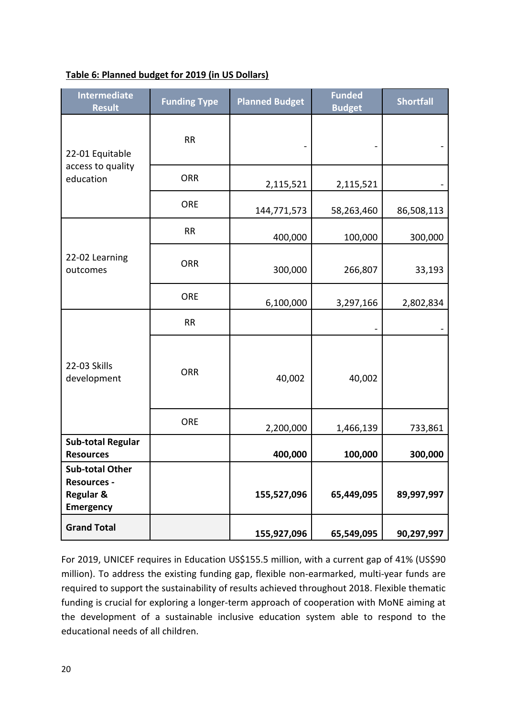| Table 6: Planned budget for 2019 (in US Dollars) |
|--------------------------------------------------|
|--------------------------------------------------|

| <b>Intermediate</b><br><b>Result</b>                                                     | <b>Funding Type</b> | <b>Planned Budget</b> | <b>Funded</b><br><b>Budget</b> | <b>Shortfall</b> |
|------------------------------------------------------------------------------------------|---------------------|-----------------------|--------------------------------|------------------|
| 22-01 Equitable<br>access to quality<br>education                                        | RR                  |                       |                                |                  |
|                                                                                          | <b>ORR</b>          | 2,115,521             | 2,115,521                      |                  |
|                                                                                          | <b>ORE</b>          | 144,771,573           | 58,263,460                     | 86,508,113       |
| 22-02 Learning<br>outcomes                                                               | <b>RR</b>           | 400,000               | 100,000                        | 300,000          |
|                                                                                          | <b>ORR</b>          | 300,000               | 266,807                        | 33,193           |
|                                                                                          | <b>ORE</b>          | 6,100,000             | 3,297,166                      | 2,802,834        |
| 22-03 Skills<br>development                                                              | <b>RR</b>           |                       |                                |                  |
|                                                                                          | <b>ORR</b>          | 40,002                | 40,002                         |                  |
|                                                                                          | <b>ORE</b>          | 2,200,000             | 1,466,139                      | 733,861          |
| <b>Sub-total Regular</b><br><b>Resources</b>                                             |                     | 400,000               | 100,000                        | 300,000          |
| <b>Sub-total Other</b><br><b>Resources -</b><br><b>Regular &amp;</b><br><b>Emergency</b> |                     | 155,527,096           | 65,449,095                     | 89,997,997       |
| <b>Grand Total</b>                                                                       |                     | 155,927,096           | 65,549,095                     | 90,297,997       |

For 2019, UNICEF requires in Education US\$155.5 million, with a current gap of 41% (US\$90 million). To address the existing funding gap, flexible non-earmarked, multi-year funds are required to support the sustainability of results achieved throughout 2018. Flexible thematic funding is crucial for exploring a longer-term approach of cooperation with MoNE aiming at the development of a sustainable inclusive education system able to respond to the educational needs of all children.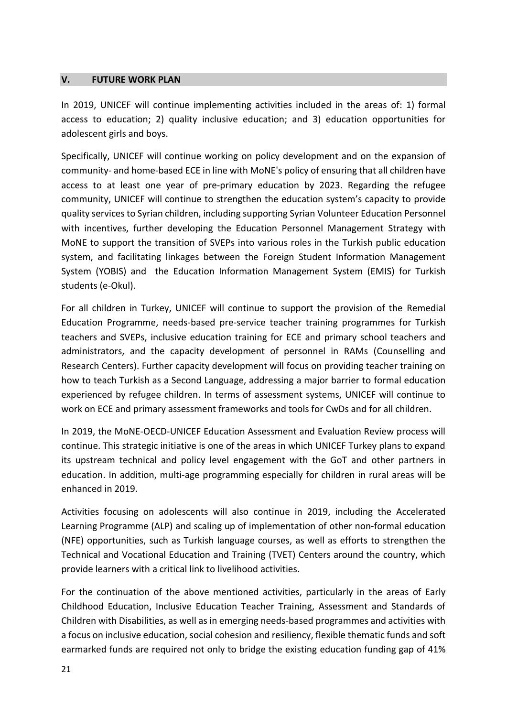#### <span id="page-20-0"></span>**V. FUTURE WORK PLAN**

In 2019, UNICEF will continue implementing activities included in the areas of: 1) formal access to education; 2) quality inclusive education; and 3) education opportunities for adolescent girls and boys.

Specifically, UNICEF will continue working on policy development and on the expansion of community- and home-based ECE in line with MoNE's policy of ensuring that all children have access to at least one year of pre-primary education by 2023. Regarding the refugee community, UNICEF will continue to strengthen the education system's capacity to provide quality services to Syrian children, including supporting Syrian Volunteer Education Personnel with incentives, further developing the Education Personnel Management Strategy with MoNE to support the transition of SVEPs into various roles in the Turkish public education system, and facilitating linkages between the Foreign Student Information Management System (YOBIS) and the Education Information Management System (EMIS) for Turkish students (e-Okul).

For all children in Turkey, UNICEF will continue to support the provision of the Remedial Education Programme, needs-based pre-service teacher training programmes for Turkish teachers and SVEPs, inclusive education training for ECE and primary school teachers and administrators, and the capacity development of personnel in RAMs (Counselling and Research Centers). Further capacity development will focus on providing teacher training on how to teach Turkish as a Second Language, addressing a major barrier to formal education experienced by refugee children. In terms of assessment systems, UNICEF will continue to work on ECE and primary assessment frameworks and tools for CwDs and for all children.

In 2019, the MoNE-OECD-UNICEF Education Assessment and Evaluation Review process will continue. This strategic initiative is one of the areas in which UNICEF Turkey plans to expand its upstream technical and policy level engagement with the GoT and other partners in education. In addition, multi-age programming especially for children in rural areas will be enhanced in 2019.

Activities focusing on adolescents will also continue in 2019, including the Accelerated Learning Programme (ALP) and scaling up of implementation of other non-formal education (NFE) opportunities, such as Turkish language courses, as well as efforts to strengthen the Technical and Vocational Education and Training (TVET) Centers around the country, which provide learners with a critical link to livelihood activities.

For the continuation of the above mentioned activities, particularly in the areas of Early Childhood Education, Inclusive Education Teacher Training, Assessment and Standards of Children with Disabilities, as well as in emerging needs-based programmes and activities with a focus on inclusive education, social cohesion and resiliency, flexible thematic funds and soft earmarked funds are required not only to bridge the existing education funding gap of 41%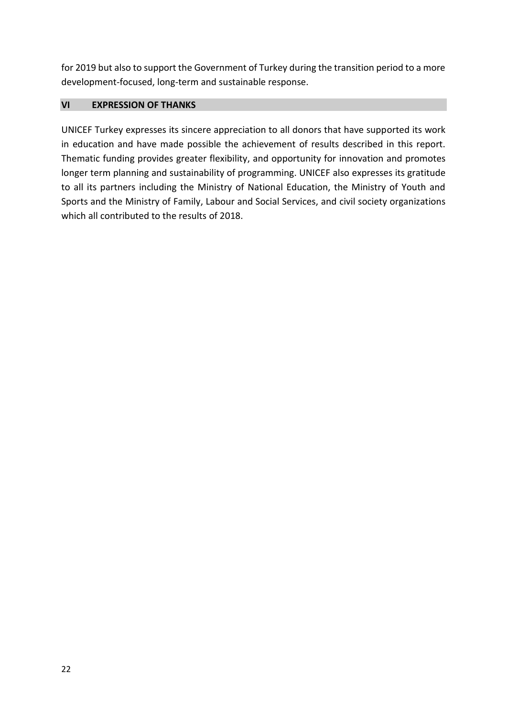for 2019 but also to support the Government of Turkey during the transition period to a more development-focused, long-term and sustainable response.

## <span id="page-21-0"></span>**VI EXPRESSION OF THANKS**

UNICEF Turkey expresses its sincere appreciation to all donors that have supported its work in education and have made possible the achievement of results described in this report. Thematic funding provides greater flexibility, and opportunity for innovation and promotes longer term planning and sustainability of programming. UNICEF also expresses its gratitude to all its partners including the Ministry of National Education, the Ministry of Youth and Sports and the Ministry of Family, Labour and Social Services, and civil society organizations which all contributed to the results of 2018.